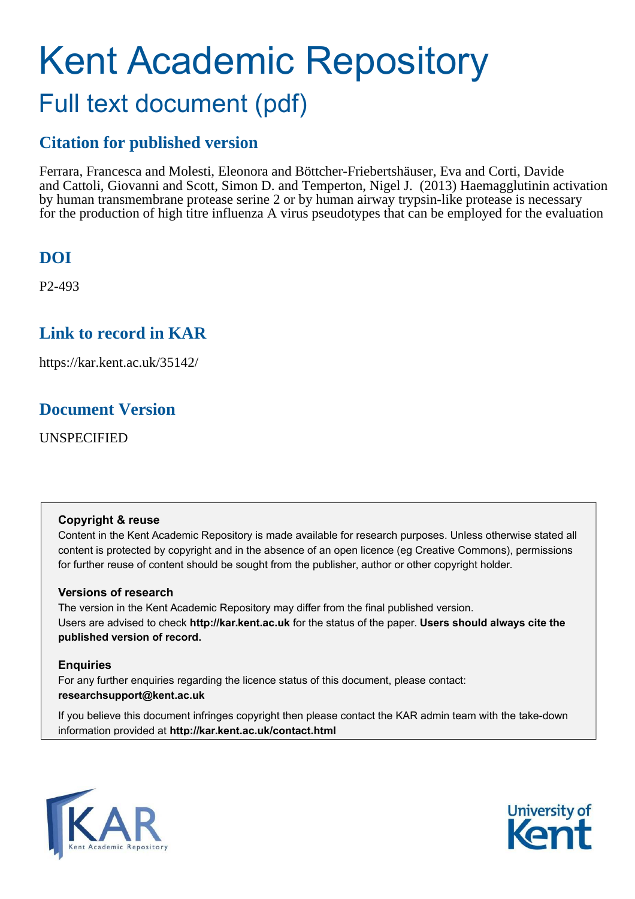### Kent Academic Repository Full text document (pdf)

#### **Citation for published version**

Ferrara, Francesca and Molesti, Eleonora and Böttcher-Friebertshäuser, Eva and Corti, Davide and Cattoli, Giovanni and Scott, Simon D. and Temperton, Nigel J. (2013) Haemagglutinin activation by human transmembrane protease serine 2 or by human airway trypsin-like protease is necessary for the production of high titre influenza A virus pseudotypes that can be employed for the evaluation

#### **DOI**

P2-493

#### **Link to record in KAR**

https://kar.kent.ac.uk/35142/

#### **Document Version**

UNSPECIFIED

#### **Copyright & reuse**

Content in the Kent Academic Repository is made available for research purposes. Unless otherwise stated all content is protected by copyright and in the absence of an open licence (eg Creative Commons), permissions for further reuse of content should be sought from the publisher, author or other copyright holder.

#### **Versions of research**

The version in the Kent Academic Repository may differ from the final published version. Users are advised to check **http://kar.kent.ac.uk** for the status of the paper. **Users should always cite the published version of record.**

#### **Enquiries**

For any further enquiries regarding the licence status of this document, please contact: **researchsupport@kent.ac.uk**

If you believe this document infringes copyright then please contact the KAR admin team with the take-down information provided at **http://kar.kent.ac.uk/contact.html**